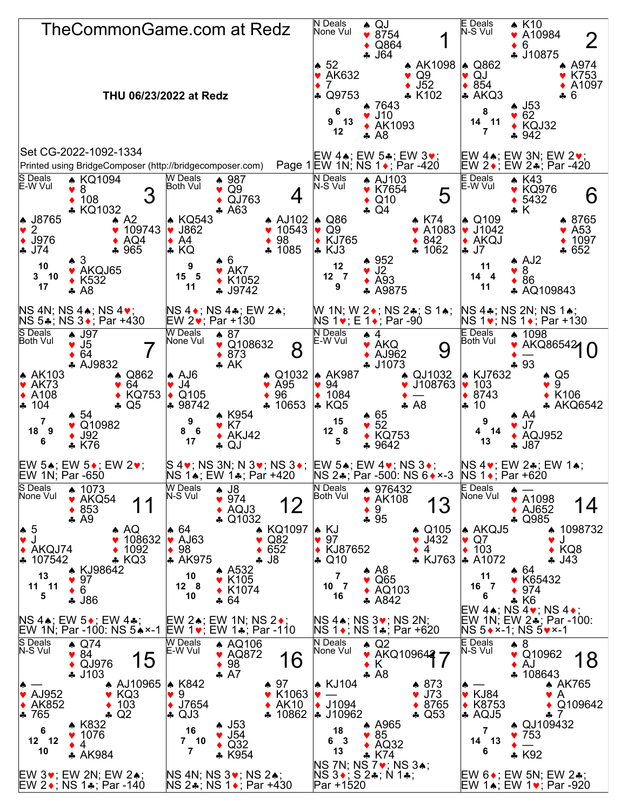